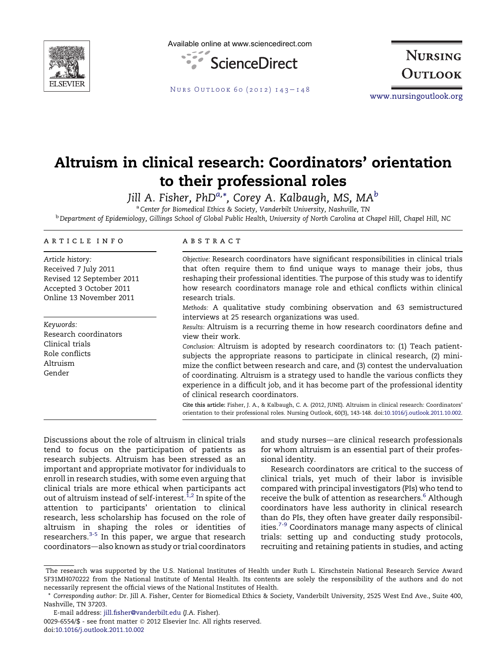

Available online at www.sciencedirect.com



**NURSING** OUTLOOK

NURS OUTLOOK 60 (2012)  $143 - 148$  $143 - 148$ 

[www.nursingoutlook.org](http://www.nursingoutlook.org)

# Altruism in clinical research: Coordinators' orientation to their professional roles

Jill A. Fisher, PhD $^{a,\ast}$  $^{a,\ast}$  $^{a,\ast}$ , Corey A. Kal[b](#page-0-0)augh, MS, MA $^b$ 

<sup>a</sup> Center for Biomedical Ethics & Society, Vanderbilt University, Nashville, TN

<sup>b</sup> Department of Epidemiology, Gillings School of Global Public Health, University of North Carolina at Chapel Hill, Chapel Hill, NC

### article info

Article history: Received 7 July 2011 Revised 12 September 2011 Accepted 3 October 2011 Online 13 November 2011

Keywords: Research coordinators Clinical trials Role conflicts Altruism Gender

#### **ABSTRACT**

Objective: Research coordinators have significant responsibilities in clinical trials that often require them to find unique ways to manage their jobs, thus reshaping their professional identities. The purpose of this study was to identify how research coordinators manage role and ethical conflicts within clinical research trials.

Methods: A qualitative study combining observation and 63 semistructured interviews at 25 research organizations was used.

Results: Altruism is a recurring theme in how research coordinators define and view their work.

Conclusion: Altruism is adopted by research coordinators to: (1) Teach patientsubjects the appropriate reasons to participate in clinical research, (2) minimize the conflict between research and care, and (3) contest the undervaluation of coordinating. Altruism is a strategy used to handle the various conflicts they experience in a difficult job, and it has become part of the professional identity of clinical research coordinators.

Cite this article: Fisher, J. A., & Kalbaugh, C. A. (2012, JUNE). Altruism in clinical research: Coordinators' orientation to their professional roles. Nursing Outlook, 60(3), 143-148. doi:[10.1016/j.outlook.2011.10.002](http://dx.doi.org/10.1016/j.outlook.2011.10.002).

Discussions about the role of altruism in clinical trials tend to focus on the participation of patients as research subjects. Altruism has been stressed as an important and appropriate motivator for individuals to enroll in research studies, with some even arguing that clinical trials are more ethical when participants act out of altruism instead of self-interest.<sup>[1,2](#page-6-0)</sup> In spite of the attention to participants' orientation to clinical research, less scholarship has focused on the role of altruism in shaping the roles or identities of researchers[.3-5](#page-6-0) In this paper, we argue that research coordinators-also known as study or trial coordinators

and study nurses-are clinical research professionals for whom altruism is an essential part of their professional identity.

Research coordinators are critical to the success of clinical trials, yet much of their labor is invisible compared with principal investigators (PIs) who tend to receive the bulk of attention as researchers.<sup>[6](#page-6-0)</sup> Although coordinators have less authority in clinical research than do PIs, they often have greater daily responsibil-ities.<sup>[7-9](#page-6-0)</sup> Coordinators manage many aspects of clinical trials: setting up and conducting study protocols, recruiting and retaining patients in studies, and acting

The research was supported by the U.S. National Institutes of Health under Ruth L. Kirschstein National Research Service Award 5F31MH070222 from the National Institute of Mental Health. Its contents are solely the responsibility of the authors and do not necessarily represent the official views of the National Institutes of Health.

<sup>\*</sup> Corresponding author: Dr. Jill A. Fisher, Center for Biomedical Ethics & Society, Vanderbilt University, 2525 West End Ave., Suite 400, Nashville, TN 37203.

<span id="page-0-0"></span>E-mail address: [jill.fisher@vanderbilt.edu](mailto:jill.fisher@vanderbilt.edu) (J.A. Fisher). 0029-6554/\$ - see front matter © 2012 Elsevier Inc. All rights reserved. doi[:10.1016/j.outlook.2011.10.002](http://dx.doi.org/10.1016/j.outlook.2011.10.002)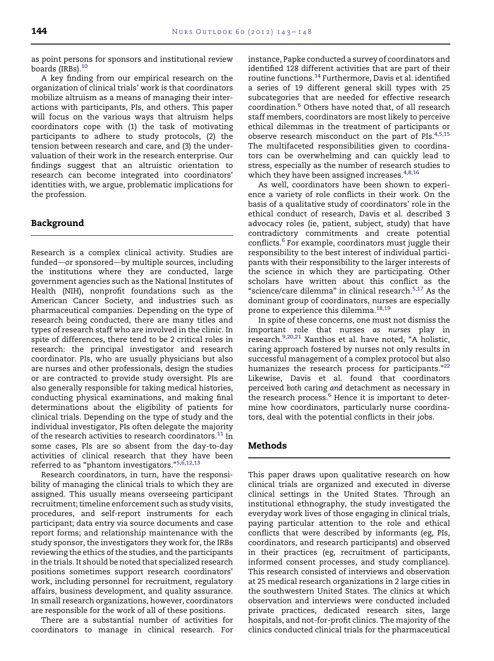as point persons for sponsors and institutional review boards (IRBs).<sup>[10](#page-6-0)</sup>

A key finding from our empirical research on the organization of clinical trials' work is that coordinators mobilize altruism as a means of managing their interactions with participants, PIs, and others. This paper will focus on the various ways that altruism helps coordinators cope with (1) the task of motivating participants to adhere to study protocols, (2) the tension between research and care, and (3) the undervaluation of their work in the research enterprise. Our findings suggest that an altruistic orientation to research can become integrated into coordinators' identities with, we argue, problematic implications for the profession.

# Background

Research is a complex clinical activity. Studies are funded-or sponsored-by multiple sources, including the institutions where they are conducted, large government agencies such as the National Institutes of Health (NIH), nonprofit foundations such as the American Cancer Society, and industries such as pharmaceutical companies. Depending on the type of research being conducted, there are many titles and types of research staff who are involved in the clinic. In spite of differences, there tend to be 2 critical roles in research: the principal investigator and research coordinator. PIs, who are usually physicians but also are nurses and other professionals, design the studies or are contracted to provide study oversight. PIs are also generally responsible for taking medical histories, conducting physical examinations, and making final determinations about the eligibility of patients for clinical trials. Depending on the type of study and the individual investigator, PIs often delegate the majority of the research activities to research coordinators.<sup>[11](#page-6-0)</sup> In some cases, PIs are so absent from the day-to-day activities of clinical research that they have been referred to as "phantom investigators."[5,6,12,13](#page-6-0)

Research coordinators, in turn, have the responsibility of managing the clinical trials to which they are assigned. This usually means overseeing participant recruitment; timeline enforcement such as study visits, procedures, and self-report instruments for each participant; data entry via source documents and case report forms; and relationship maintenance with the study sponsor, the investigators they work for, the IRBs reviewing the ethics of the studies, and the participants in the trials. It should be noted that specialized research positions sometimes support research coordinators' work, including personnel for recruitment, regulatory affairs, business development, and quality assurance. In small research organizations, however, coordinators are responsible for the work of all of these positions.

There are a substantial number of activities for coordinators to manage in clinical research. For

instance, Papke conducted a survey of coordinators and identified 128 different activities that are part of their routine functions.<sup>[14](#page-6-0)</sup> Furthermore, Davis et al. identified a series of 19 different general skill types with 25 subcategories that are needed for effective research coordination.[6](#page-6-0) Others have noted that, of all research staff members, coordinators are most likely to perceive ethical dilemmas in the treatment of participants or observe research misconduct on the part of PIs.<sup>[4,5,15](#page-6-0)</sup> The multifaceted responsibilities given to coordinators can be overwhelming and can quickly lead to stress, especially as the number of research studies to which they have been assigned increases.<sup>[4,8,16](#page-6-0)</sup>

As well, coordinators have been shown to experience a variety of role conflicts in their work. On the basis of a qualitative study of coordinators' role in the ethical conduct of research, Davis et al. described 3 advocacy roles (ie, patient, subject, study) that have contradictory commitments and create potential conflicts.<sup>[6](#page-6-0)</sup> For example, coordinators must juggle their responsibility to the best interest of individual participants with their responsibility to the larger interests of the science in which they are participating. Other scholars have written about this conflict as the "science/care dilemma" in clinical research. $5,17$  As the dominant group of coordinators, nurses are especially prone to experience this dilemma.<sup>[18,19](#page-6-0)</sup>

In spite of these concerns, one must not dismiss the important role that nurses as nurses play in research.<sup>[9,20,21](#page-6-0)</sup> Xanthos et al. have noted, "A holistic, caring approach fostered by nurses not only results in successful management of a complex protocol but also humanizes the research process for participants."<sup>[22](#page-6-0)</sup> Likewise, Davis et al. found that coordinators perceived both caring and detachment as necessary in the research process.<sup>[6](#page-6-0)</sup> Hence it is important to determine how coordinators, particularly nurse coordinators, deal with the potential conflicts in their jobs.

# Methods

This paper draws upon qualitative research on how clinical trials are organized and executed in diverse clinical settings in the United States. Through an institutional ethnography, the study investigated the everyday work lives of those engaging in clinical trials, paying particular attention to the role and ethical conflicts that were described by informants (eg, PIs, coordinators, and research participants) and observed in their practices (eg, recruitment of participants, informed consent processes, and study compliance). This research consisted of interviews and observation at 25 medical research organizations in 2 large cities in the southwestern United States. The clinics at which observation and interviews were conducted included private practices, dedicated research sites, large hospitals, and not-for-profit clinics. The majority of the clinics conducted clinical trials for the pharmaceutical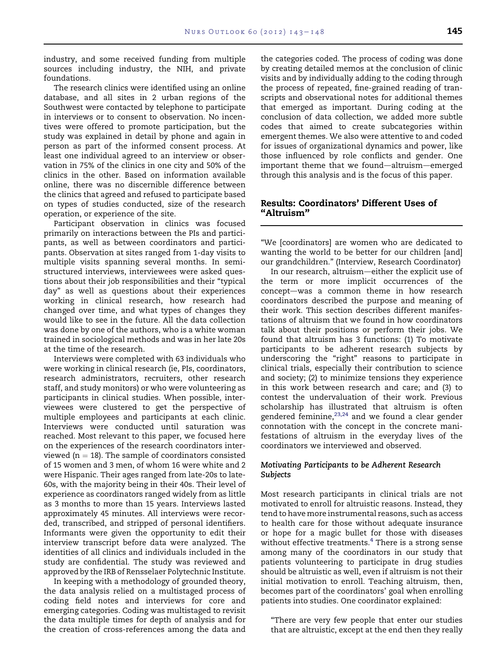industry, and some received funding from multiple sources including industry, the NIH, and private foundations.

The research clinics were identified using an online database, and all sites in 2 urban regions of the Southwest were contacted by telephone to participate in interviews or to consent to observation. No incentives were offered to promote participation, but the study was explained in detail by phone and again in person as part of the informed consent process. At least one individual agreed to an interview or observation in 75% of the clinics in one city and 50% of the clinics in the other. Based on information available online, there was no discernible difference between the clinics that agreed and refused to participate based on types of studies conducted, size of the research operation, or experience of the site.

Participant observation in clinics was focused primarily on interactions between the PIs and participants, as well as between coordinators and participants. Observation at sites ranged from 1-day visits to multiple visits spanning several months. In semistructured interviews, interviewees were asked questions about their job responsibilities and their "typical day" as well as questions about their experiences working in clinical research, how research had changed over time, and what types of changes they would like to see in the future. All the data collection was done by one of the authors, who is a white woman trained in sociological methods and was in her late 20s at the time of the research.

Interviews were completed with 63 individuals who were working in clinical research (ie, PIs, coordinators, research administrators, recruiters, other research staff, and study monitors) or who were volunteering as participants in clinical studies. When possible, interviewees were clustered to get the perspective of multiple employees and participants at each clinic. Interviews were conducted until saturation was reached. Most relevant to this paper, we focused here on the experiences of the research coordinators interviewed ( $n = 18$ ). The sample of coordinators consisted of 15 women and 3 men, of whom 16 were white and 2 were Hispanic. Their ages ranged from late-20s to late-60s, with the majority being in their 40s. Their level of experience as coordinators ranged widely from as little as 3 months to more than 15 years. Interviews lasted approximately 45 minutes. All interviews were recorded, transcribed, and stripped of personal identifiers. Informants were given the opportunity to edit their interview transcript before data were analyzed. The identities of all clinics and individuals included in the study are confidential. The study was reviewed and approved by the IRB of Rensselaer Polytechnic Institute.

In keeping with a methodology of grounded theory, the data analysis relied on a multistaged process of coding field notes and interviews for core and emerging categories. Coding was multistaged to revisit the data multiple times for depth of analysis and for the creation of cross-references among the data and the categories coded. The process of coding was done by creating detailed memos at the conclusion of clinic visits and by individually adding to the coding through the process of repeated, fine-grained reading of transcripts and observational notes for additional themes that emerged as important. During coding at the conclusion of data collection, we added more subtle codes that aimed to create subcategories within emergent themes. We also were attentive to and coded for issues of organizational dynamics and power, like those influenced by role conflicts and gender. One important theme that we found-altruism-emerged through this analysis and is the focus of this paper.

# Results: Coordinators' Different Uses of "Altruism"

"We [coordinators] are women who are dedicated to wanting the world to be better for our children [and] our grandchildren." (Interview, Research Coordinator)

In our research, altruism-either the explicit use of the term or more implicit occurrences of the concept-was a common theme in how research coordinators described the purpose and meaning of their work. This section describes different manifestations of altruism that we found in how coordinators talk about their positions or perform their jobs. We found that altruism has 3 functions: (1) To motivate participants to be adherent research subjects by underscoring the "right" reasons to participate in clinical trials, especially their contribution to science and society; (2) to minimize tensions they experience in this work between research and care; and (3) to contest the undervaluation of their work. Previous scholarship has illustrated that altruism is often gendered feminine,  $23,24$  and we found a clear gender connotation with the concept in the concrete manifestations of altruism in the everyday lives of the coordinators we interviewed and observed.

# Motivating Participants to be Adherent Research Subjects

Most research participants in clinical trials are not motivated to enroll for altruistic reasons. Instead, they tend to have more instrumental reasons, such as access to health care for those without adequate insurance or hope for a magic bullet for those with diseases without effective treatments. $4$  There is a strong sense among many of the coordinators in our study that patients volunteering to participate in drug studies should be altruistic as well, even if altruism is not their initial motivation to enroll. Teaching altruism, then, becomes part of the coordinators' goal when enrolling patients into studies. One coordinator explained:

"There are very few people that enter our studies that are altruistic, except at the end then they really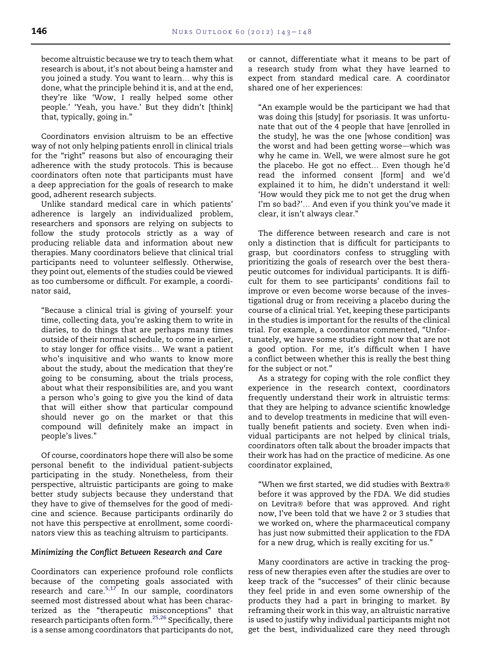become altruistic because we try to teach them what research is about, it's not about being a hamster and you joined a study. You want to learn... why this is done, what the principle behind it is, and at the end, they're like 'Wow, I really helped some other people.' 'Yeah, you have.' But they didn't [think] that, typically, going in."

Coordinators envision altruism to be an effective way of not only helping patients enroll in clinical trials for the "right" reasons but also of encouraging their adherence with the study protocols. This is because coordinators often note that participants must have a deep appreciation for the goals of research to make good, adherent research subjects.

Unlike standard medical care in which patients' adherence is largely an individualized problem, researchers and sponsors are relying on subjects to follow the study protocols strictly as a way of producing reliable data and information about new therapies. Many coordinators believe that clinical trial participants need to volunteer selflessly. Otherwise, they point out, elements of the studies could be viewed as too cumbersome or difficult. For example, a coordinator said,

"Because a clinical trial is giving of yourself: your time, collecting data, you're asking them to write in diaries, to do things that are perhaps many times outside of their normal schedule, to come in earlier, to stay longer for office visits... We want a patient who's inquisitive and who wants to know more about the study, about the medication that they're going to be consuming, about the trials process, about what their responsibilities are, and you want a person who's going to give you the kind of data that will either show that particular compound should never go on the market or that this compound will definitely make an impact in people's lives."

Of course, coordinators hope there will also be some personal benefit to the individual patient-subjects participating in the study. Nonetheless, from their perspective, altruistic participants are going to make better study subjects because they understand that they have to give of themselves for the good of medicine and science. Because participants ordinarily do not have this perspective at enrollment, some coordinators view this as teaching altruism to participants.

## Minimizing the Conflict Between Research and Care

Coordinators can experience profound role conflicts because of the competing goals associated with research and care.<sup>[5,17](#page-6-0)</sup> In our sample, coordinators seemed most distressed about what has been characterized as the "therapeutic misconceptions" that research participants often form.<sup>25,26</sup> Specifically, there is a sense among coordinators that participants do not,

or cannot, differentiate what it means to be part of a research study from what they have learned to expect from standard medical care. A coordinator shared one of her experiences:

"An example would be the participant we had that was doing this [study] for psoriasis. It was unfortunate that out of the 4 people that have [enrolled in the study], he was the one [whose condition] was the worst and had been getting worse-which was why he came in. Well, we were almost sure he got the placebo. He got no effect... Even though he'd read the informed consent [form] and we'd explained it to him, he didn't understand it well: 'How would they pick me to not get the drug when I'm so bad?'... And even if you think you've made it clear, it isn't always clear."

The difference between research and care is not only a distinction that is difficult for participants to grasp, but coordinators confess to struggling with prioritizing the goals of research over the best therapeutic outcomes for individual participants. It is difficult for them to see participants' conditions fail to improve or even become worse because of the investigational drug or from receiving a placebo during the course of a clinical trial. Yet, keeping these participants in the studies is important for the results of the clinical trial. For example, a coordinator commented, "Unfortunately, we have some studies right now that are not a good option. For me, it's difficult when I have a conflict between whether this is really the best thing for the subject or not."

As a strategy for coping with the role conflict they experience in the research context, coordinators frequently understand their work in altruistic terms: that they are helping to advance scientific knowledge and to develop treatments in medicine that will eventually benefit patients and society. Even when individual participants are not helped by clinical trials, coordinators often talk about the broader impacts that their work has had on the practice of medicine. As one coordinator explained,

"When we first started, we did studies with Bextra® before it was approved by the FDA. We did studies on Levitra® before that was approved. And right now, I've been told that we have 2 or 3 studies that we worked on, where the pharmaceutical company has just now submitted their application to the FDA for a new drug, which is really exciting for us."

Many coordinators are active in tracking the progress of new therapies even after the studies are over to keep track of the "successes" of their clinic because they feel pride in and even some ownership of the products they had a part in bringing to market. By reframing their work in this way, an altruistic narrative is used to justify why individual participants might not get the best, individualized care they need through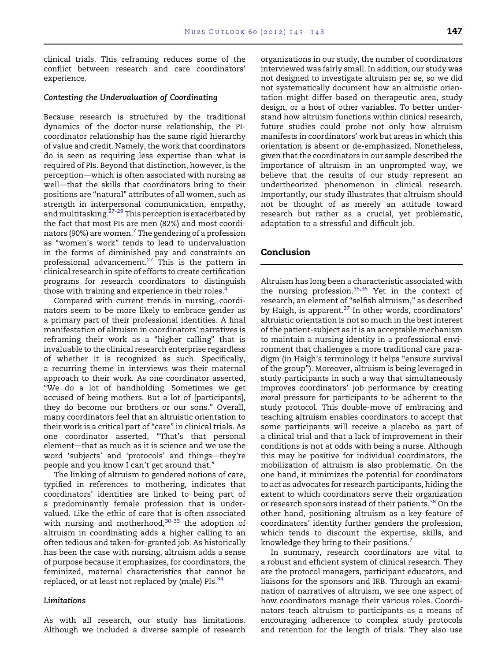clinical trials. This reframing reduces some of the conflict between research and care coordinators' experience.

### Contesting the Undervaluation of Coordinating

Because research is structured by the traditional dynamics of the doctor-nurse relationship, the PIcoordinator relationship has the same rigid hierarchy of value and credit. Namely, the work that coordinators do is seen as requiring less expertise than what is required of PIs. Beyond that distinction, however, is the perception-which is often associated with nursing as well—that the skills that coordinators bring to their positions are "natural" attributes of all women, such as strength in interpersonal communication, empathy, and multitasking.<sup>[27-29](#page-6-0)</sup> This perception is exacerbated by the fact that most PIs are men (82%) and most coordi-nators (90%) are women.<sup>[7](#page-6-0)</sup> The gendering of a profession as "women's work" tends to lead to undervaluation in the forms of diminished pay and constraints on professional advancement.<sup>[27](#page-6-0)</sup> This is the pattern in clinical research in spite of efforts to create certification programs for research coordinators to distinguish those with training and experience in their roles.[4](#page-6-0)

Compared with current trends in nursing, coordinators seem to be more likely to embrace gender as a primary part of their professional identities. A final manifestation of altruism in coordinators' narratives is reframing their work as a "higher calling" that is invaluable to the clinical research enterprise regardless of whether it is recognized as such. Specifically, a recurring theme in interviews was their maternal approach to their work. As one coordinator asserted, "We do a lot of handholding. Sometimes we get accused of being mothers. But a lot of [participants], they do become our brothers or our sons." Overall, many coordinators feel that an altruistic orientation to their work is a critical part of "care" in clinical trials. As one coordinator asserted, "That's that personal element-that as much as it is science and we use the word 'subjects' and 'protocols' and things—they're people and you know I can't get around that."

The linking of altruism to gendered notions of care, typified in references to mothering, indicates that coordinators' identities are linked to being part of a predominantly female profession that is undervalued. Like the ethic of care that is often associated with nursing and motherhood, $30-33$  the adoption of altruism in coordinating adds a higher calling to an often tedious and taken-for-granted job. As historically has been the case with nursing, altruism adds a sense of purpose because it emphasizes, for coordinators, the feminized, maternal characteristics that cannot be replaced, or at least not replaced by (male)  $PIs.<sup>34</sup>$ 

#### Limitations

As with all research, our study has limitations. Although we included a diverse sample of research organizations in our study, the number of coordinators interviewed was fairly small. In addition, our study was not designed to investigate altruism per se, so we did not systematically document how an altruistic orientation might differ based on therapeutic area, study design, or a host of other variables. To better understand how altruism functions within clinical research, future studies could probe not only how altruism manifests in coordinators' work but areas in which this orientation is absent or de-emphasized. Nonetheless, given that the coordinators in our sample described the importance of altruism in an unprompted way, we believe that the results of our study represent an undertheorized phenomenon in clinical research. Importantly, our study illustrates that altruism should not be thought of as merely an attitude toward research but rather as a crucial, yet problematic, adaptation to a stressful and difficult job.

# Conclusion

Altruism has long been a characteristic associated with the nursing profession.<sup>[35,36](#page-6-0)</sup> Yet in the context of research, an element of "selfish altruism," as described by Haigh, is apparent. $37$  In other words, coordinators' altruistic orientation is not so much in the best interest of the patient-subject as it is an acceptable mechanism to maintain a nursing identity in a professional environment that challenges a more traditional care paradigm (in Haigh's terminology it helps "ensure survival of the group"). Moreover, altruism is being leveraged in study participants in such a way that simultaneously improves coordinators' job performance by creating moral pressure for participants to be adherent to the study protocol. This double-move of embracing and teaching altruism enables coordinators to accept that some participants will receive a placebo as part of a clinical trial and that a lack of improvement in their conditions is not at odds with being a nurse. Although this may be positive for individual coordinators, the mobilization of altruism is also problematic. On the one hand, it minimizes the potential for coordinators to act as advocates for research participants, hiding the extent to which coordinators serve their organization or research sponsors instead of their patients.<sup>[38](#page-6-0)</sup> On the other hand, positioning altruism as a key feature of coordinators' identity further genders the profession, which tends to discount the expertise, skills, and knowledge they bring to their positions.<sup>[7](#page-6-0)</sup>

In summary, research coordinators are vital to a robust and efficient system of clinical research. They are the protocol managers, participant educators, and liaisons for the sponsors and IRB. Through an examination of narratives of altruism, we see one aspect of how coordinators manage their various roles. Coordinators teach altruism to participants as a means of encouraging adherence to complex study protocols and retention for the length of trials. They also use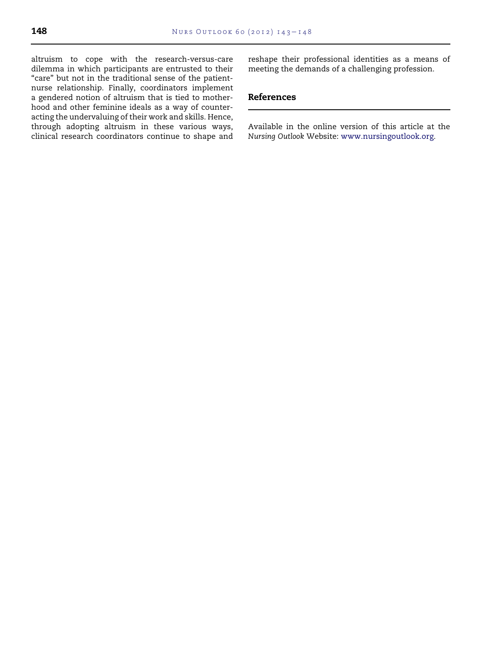altruism to cope with the research-versus-care dilemma in which participants are entrusted to their "care" but not in the traditional sense of the patientnurse relationship. Finally, coordinators implement a gendered notion of altruism that is tied to motherhood and other feminine ideals as a way of counteracting the undervaluing of their work and skills. Hence, through adopting altruism in these various ways, clinical research coordinators continue to shape and reshape their professional identities as a means of meeting the demands of a challenging profession.

# References

Available in the online version of this article at the Nursing Outlook Website: [www.nursingoutlook.org.](http://www.nursingoutlook.org)